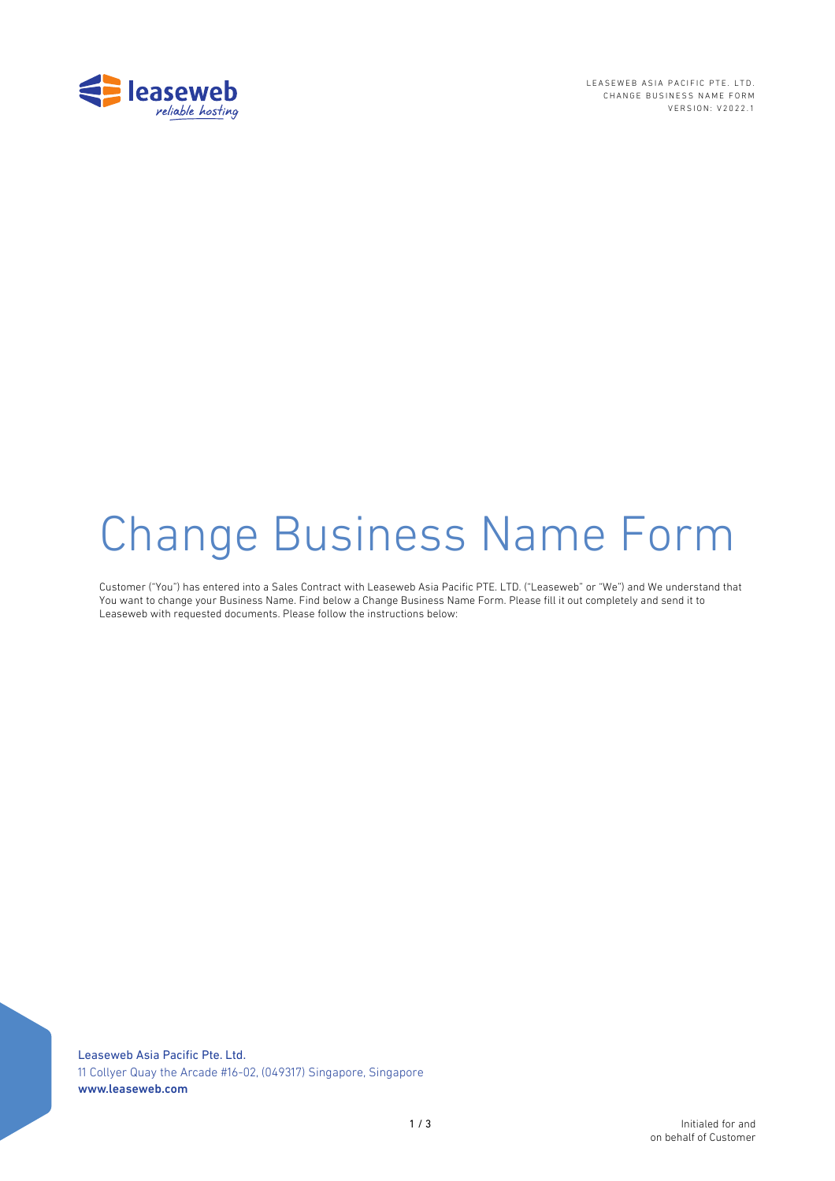

LEASEWEB ASIA PACIFIC PTE. LTD. CHANGE BUSINESS NAME FORM VERSION: V2022.1

# **Change Business Name Form**

Customer ("You") has entered into a Sales Contract with Leaseweb Asia Pacific PTE. LTD. ("Leaseweb" or "We") and We understand that You want to change your Business Name. Find below a Change Business Name Form. Please fill it out completely and send it to Leaseweb with requested documents. Please follow the instructions below:

Leaseweb Asia Pacific Pte. Ltd. 11 Collyer Quay the Arcade #16-02, (049317) Singapore, Singapore www.leaseweb.com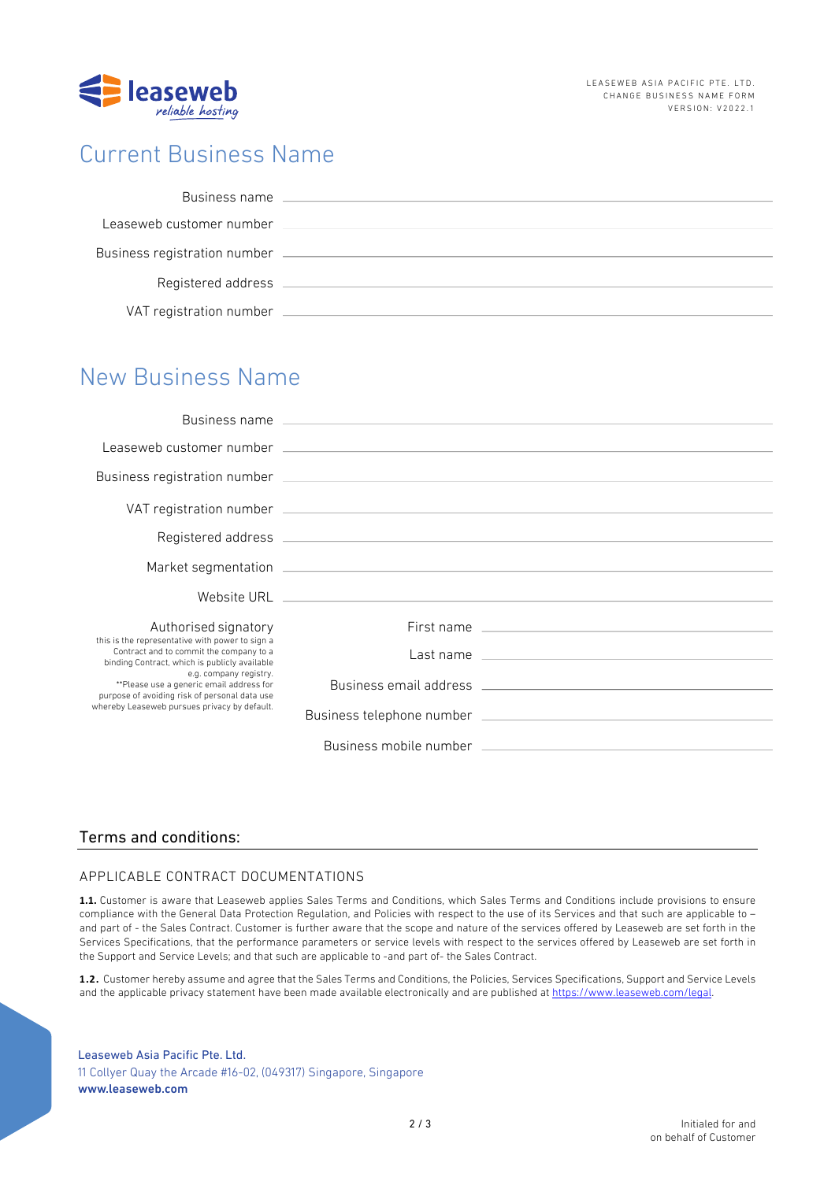

## Current Business Name

| Business name                |  |
|------------------------------|--|
| Leaseweb customer number     |  |
| Business registration number |  |
| Registered address           |  |
| VAT registration number      |  |

## New Business Name

|                                                                                                                                                                                                                                                                                                                    | Leaseweb customer number (2002) 2003 and 2004 and 2004 and 2004 and 2004 and 2004 and 2004 and 2004 and 2004 and 2004 and 2004 and 2004 and 2004 and 2004 and 2004 and 2004 and 2004 and 2004 and 2004 and 2004 and 2004 and 2 |
|--------------------------------------------------------------------------------------------------------------------------------------------------------------------------------------------------------------------------------------------------------------------------------------------------------------------|--------------------------------------------------------------------------------------------------------------------------------------------------------------------------------------------------------------------------------|
|                                                                                                                                                                                                                                                                                                                    |                                                                                                                                                                                                                                |
|                                                                                                                                                                                                                                                                                                                    |                                                                                                                                                                                                                                |
|                                                                                                                                                                                                                                                                                                                    |                                                                                                                                                                                                                                |
|                                                                                                                                                                                                                                                                                                                    |                                                                                                                                                                                                                                |
|                                                                                                                                                                                                                                                                                                                    |                                                                                                                                                                                                                                |
| Authorised signatory                                                                                                                                                                                                                                                                                               |                                                                                                                                                                                                                                |
| this is the representative with power to sign a<br>Contract and to commit the company to a<br>binding Contract, which is publicly available<br>e.g. company registry.<br>**Please use a generic email address for<br>purpose of avoiding risk of personal data use<br>whereby Leaseweb pursues privacy by default. | Last name entirely and the state of the state of the state of the state of the state of the state of the state of the state of the state of the state of the state of the state of the state of the state of the state of the  |
|                                                                                                                                                                                                                                                                                                                    | Business email address experience and the contract of the contract of the contract of the contract of the contract of the contract of the contract of the contract of the contract of the contract of the contract of the cont |
|                                                                                                                                                                                                                                                                                                                    |                                                                                                                                                                                                                                |
|                                                                                                                                                                                                                                                                                                                    | Business mobile number that the control of the control of the control of the control of the control of the control of the control of the control of the control of the control of the control of the control of the control of |

### Terms and conditions:

#### APPLICABLE CONTRACT DOCUMENTATIONS

**1.1.** Customer is aware that Leaseweb applies Sales Terms and Conditions, which Sales Terms and Conditions include provisions to ensure compliance with the General Data Protection Regulation, and Policies with respect to the use of its Services and that such are applicable to – and part of - the Sales Contract. Customer is further aware that the scope and nature of the services offered by Leaseweb are set forth in the Services Specifications, that the performance parameters or service levels with respect to the services offered by Leaseweb are set forth in the Support and Service Levels; and that such are applicable to -and part of- the Sales Contract.

**1.2.** Customer hereby assume and agree that the Sales Terms and Conditions, the Policies, Services Specifications, Support and Service Levels and the applicable privacy statement have been made available electronically and are published at https://www.leaseweb.com/legal.

#### Leaseweb Asia Pacific Pte. Ltd. 11 Collyer Quay the Arcade #16–02, (049317) Singapore, Singapore www.leaseweb.com